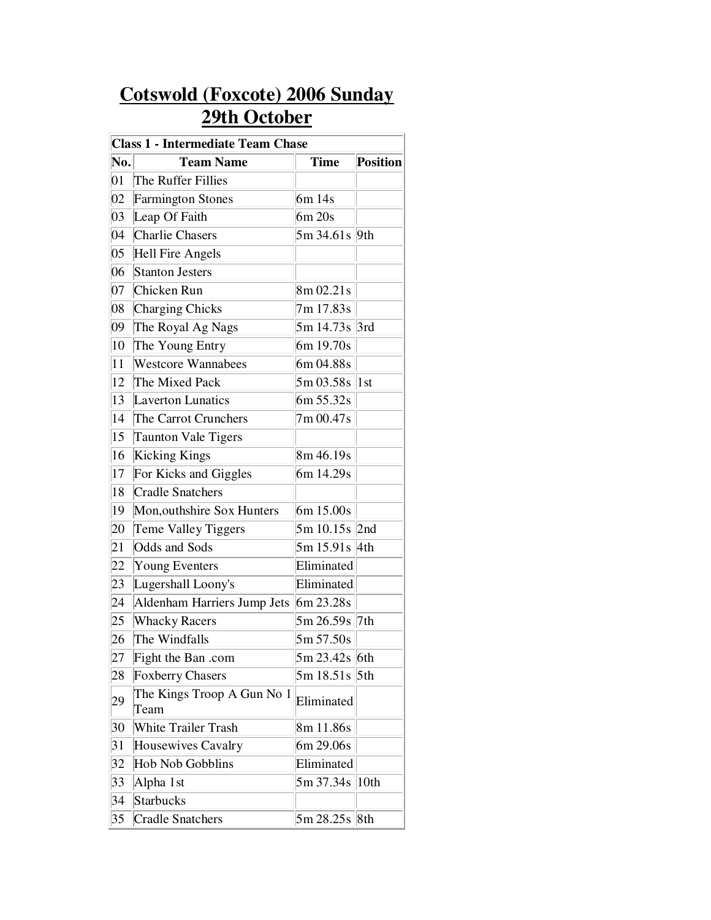## **Cotswold (Foxcote) 2006 Sunday 29th October**

| <b>Class 1 - Intermediate Team Chase</b> |                                    |                 |                 |
|------------------------------------------|------------------------------------|-----------------|-----------------|
| No.                                      | <b>Team Name</b>                   | <b>Time</b>     | <b>Position</b> |
| 01                                       | The Ruffer Fillies                 |                 |                 |
| 02                                       | <b>Farmington Stones</b>           | 6m 14s          |                 |
| 03                                       | Leap Of Faith                      | 6m 20s          |                 |
| 04                                       | <b>Charlie Chasers</b>             | 5m 34.61s 9th   |                 |
| 05                                       | Hell Fire Angels                   |                 |                 |
| 06                                       | <b>Stanton Jesters</b>             |                 |                 |
| 07                                       | Chicken Run                        | 8m 02.21s       |                 |
| 08                                       | Charging Chicks                    | 7m 17.83s       |                 |
| 09                                       | The Royal Ag Nags                  | 5m 14.73s 3rd   |                 |
| 10                                       | The Young Entry                    | 6m 19.70s       |                 |
| 11                                       | <b>Westcore Wannabees</b>          | 6m 04.88s       |                 |
| 12                                       | The Mixed Pack                     | 5m 03.58s       | $\vert 1st$     |
| 13                                       | <b>Laverton Lunatics</b>           | 6m 55.32s       |                 |
| 14                                       | The Carrot Crunchers               | 7m 00.47s       |                 |
| 15                                       | <b>Taunton Vale Tigers</b>         |                 |                 |
| 16                                       | Kicking Kings                      | 8m 46.19s       |                 |
| 17                                       | For Kicks and Giggles              | 6m 14.29s       |                 |
| 18                                       | <b>Cradle Snatchers</b>            |                 |                 |
| 19                                       | Mon, outhshire Sox Hunters         | 6m 15.00s       |                 |
| 20                                       | Teme Valley Tiggers                | 5m 10.15s 2nd   |                 |
| 21                                       | Odds and Sods                      | 5m 15.91s 4th   |                 |
| 22                                       | Young Eventers                     | Eliminated      |                 |
| 23                                       | Lugershall Loony's                 | Eliminated      |                 |
| 24                                       | Aldenham Harriers Jump Jets        | 6m 23.28s       |                 |
| 25                                       | <b>Whacky Racers</b>               | 5m 26.59s 7th   |                 |
| 26                                       | The Windfalls                      | 5m 57.50s       |                 |
| 27                                       | Fight the Ban .com                 | $5m 23.42s$ 6th |                 |
| 28                                       | <b>Foxberry Chasers</b>            | 5m 18.51s 5th   |                 |
| 29                                       | The Kings Troop A Gun No 1<br>Team | Eliminated      |                 |
| 30                                       | <b>White Trailer Trash</b>         | 8m 11.86s       |                 |
| 31                                       | Housewives Cavalry                 | 6m 29.06s       |                 |
| 32                                       | <b>Hob Nob Gobblins</b>            | Eliminated      |                 |
| 33                                       | Alpha 1st                          | 5m 37.34s 10th  |                 |
| 34                                       | Starbucks                          |                 |                 |
| 35                                       | <b>Cradle Snatchers</b>            | 5m 28.25s 8th   |                 |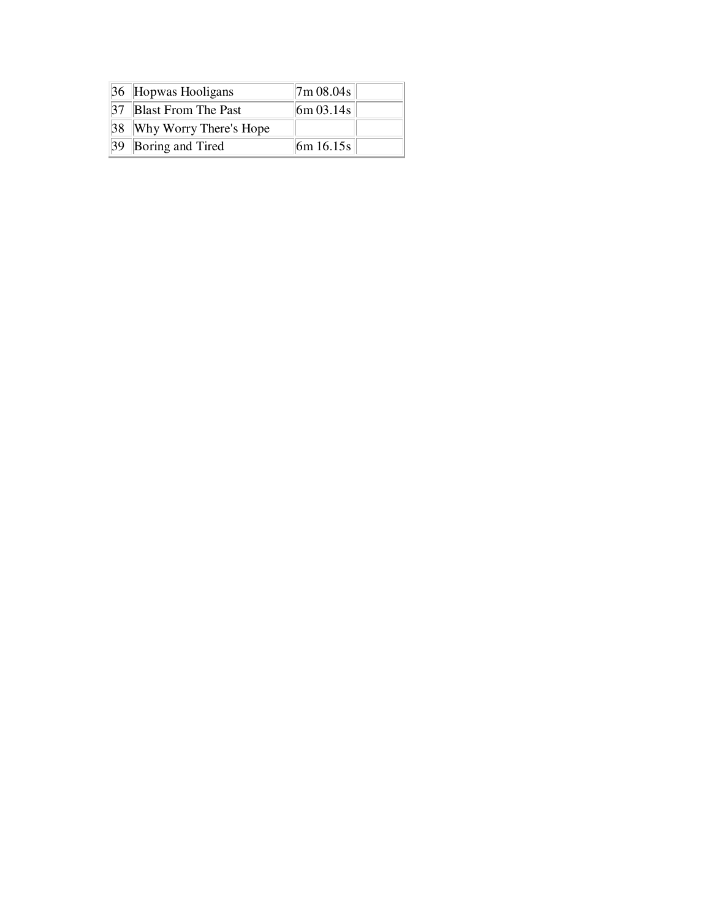| 36 Hopwas Hooligans       | 7m 08.04s              |  |
|---------------------------|------------------------|--|
| 37 Blast From The Past    | $\frac{1}{6}$ m 03.14s |  |
| 38 Why Worry There's Hope |                        |  |
| 39 Boring and Tired       | $\frac{16m}{16.15s}$   |  |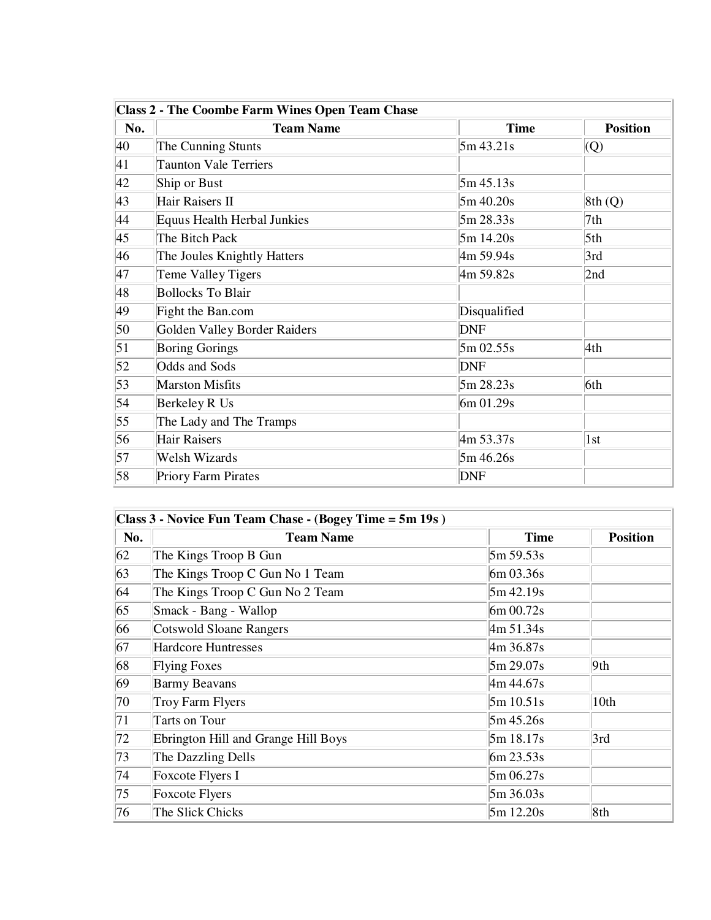| <b>Class 2 - The Coombe Farm Wines Open Team Chase</b> |                                    |              |                 |
|--------------------------------------------------------|------------------------------------|--------------|-----------------|
| No.                                                    | <b>Team Name</b>                   | <b>Time</b>  | <b>Position</b> |
| 40                                                     | The Cunning Stunts                 | 5m 43.21s    | $ Q\rangle$     |
| 41                                                     | <b>Taunton Vale Terriers</b>       |              |                 |
| 42                                                     | Ship or Bust                       | 5m 45.13s    |                 |
| 43                                                     | Hair Raisers II                    | 5m 40.20s    | 8th(Q)          |
| 44                                                     | <b>Equus Health Herbal Junkies</b> | 5m 28.33s    | 7th             |
| 45                                                     | The Bitch Pack                     | 5m 14.20s    | 5th             |
| 46                                                     | The Joules Knightly Hatters        | 4m 59.94s    | 3rd             |
| 47                                                     | Teme Valley Tigers                 | 4m 59.82s    | 2nd             |
| 48                                                     | <b>Bollocks</b> To Blair           |              |                 |
| 49                                                     | Fight the Ban.com                  | Disqualified |                 |
| 50                                                     | Golden Valley Border Raiders       | <b>DNF</b>   |                 |
| $\vert 51 \vert$                                       | <b>Boring Gorings</b>              | 5m 02.55s    | 4th             |
| 52                                                     | Odds and Sods                      | <b>DNF</b>   |                 |
| 53                                                     | <b>Marston Misfits</b>             | 5m 28.23s    | 6th             |
| 54                                                     | Berkeley R Us                      | 6m 01.29s    |                 |
| 55                                                     | The Lady and The Tramps            |              |                 |
| 56                                                     | <b>Hair Raisers</b>                | 4m 53.37s    | 1st             |
| 57                                                     | Welsh Wizards                      | 5m 46.26s    |                 |
| 58                                                     | Priory Farm Pirates                | <b>DNF</b>   |                 |

| Class 3 - Novice Fun Team Chase - (Bogey Time = 5m 19s) |                                     |              |                 |
|---------------------------------------------------------|-------------------------------------|--------------|-----------------|
| No.                                                     | <b>Team Name</b>                    | <b>Time</b>  | <b>Position</b> |
| 62                                                      | The Kings Troop B Gun               | 5m 59.53s    |                 |
| 63                                                      | The Kings Troop C Gun No 1 Team     | 6m 03.36s    |                 |
| 64                                                      | The Kings Troop C Gun No 2 Team     | 5m 42.19s    |                 |
| 65                                                      | Smack - Bang - Wallop               | 6m 00.72s    |                 |
| 66                                                      | <b>Cotswold Sloane Rangers</b>      | 4m 51.34s    |                 |
| 67                                                      | <b>Hardcore Huntresses</b>          | 4m 36.87s    |                 |
| 68                                                      | <b>Flying Foxes</b>                 | 5m 29.07s    | 9th             |
| 69                                                      | <b>Barmy Beavans</b>                | 4m 44.67s    |                 |
| 70                                                      | Troy Farm Flyers                    | 5m 10.51s    | 10th            |
| 71                                                      | Tarts on Tour                       | 5m 45.26s    |                 |
| 72                                                      | Ebrington Hill and Grange Hill Boys | 5m 18.17s    | 3rd             |
| 73                                                      | The Dazzling Dells                  | 6m 23.53s    |                 |
| 74                                                      | Foxcote Flyers I                    | $5m\,06.27s$ |                 |
| 75                                                      | <b>Foxcote Flyers</b>               | 5m 36.03s    |                 |
| 76                                                      | The Slick Chicks                    | 5m 12.20s    | 8th             |